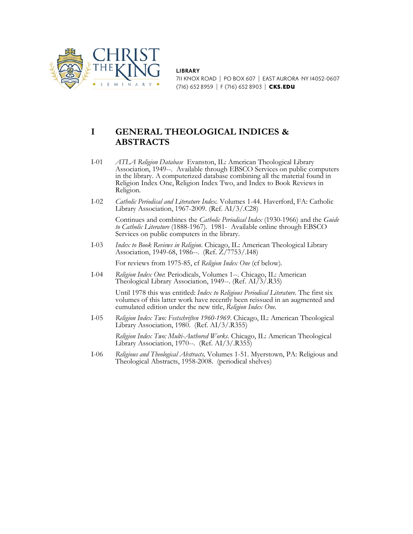

**LIBRARY**

711 KNOX ROAD | PO BOX 607 | EAST AURORA NY 14052-0607 (716) 652 8959 | F (716) 652 8903 | CKS.EDU

# **I GENERAL THEOLOGICAL INDICES & ABSTRACTS**

- I-01 *ATLA Religion Database* Evanston, IL: American Theological Library Association, 1949--. Available through EBSCO Services on public computers in the library. A computerized database combining all the material found in Religion Index One, Religion Index Two, and Index to Book Reviews in Religion.
- I-02 *Catholic Periodical and Literature Index.* Volumes 1-44. Haverford, FA: Catholic Library Association, 1967-2009. (Ref. AI/3/.C28)

Continues and combines the *Catholic Periodical Index* (1930-1966) and the *Guide to Catholic Literature* (1888-1967). 1981- Available online through EBSCO Services on public computers in the library.

I-03 *Index to Book Reviews in Religion*. Chicago, IL: American Theological Library Association, 1949-68, 1986--. (Ref. Z/7753/.I48)

For reviews from 1975-85, cf *Religion Index One* (cf below).

I-04 *Religion Index One*: Periodicals, Volumes 1--. Chicago, IL: American Theological Library Association, 1949--. (Ref. AI/3/.R35)

> Until 1978 this was entitled: *Index to Religious Periodical Literature*. The first six volumes of this latter work have recently been reissued in an augmented and cumulated edition under the new title, *Religion Index One.*

I-05 *Religion Index Two: Festschriften 1960-1969*. Chicago, IL: American Theological Library Association, 1980. (Ref. AI/3/.R355)

*Religion Index Two: Multi-Authored Works*. Chicago, IL: American Theological Library Association, 1970--. (Ref. AI/3/.R355)

I-06 *Religious and Theological Abstracts,* Volumes 1-51. Myerstown, PA: Religious and Theological Abstracts, 1958-2008. (periodical shelves)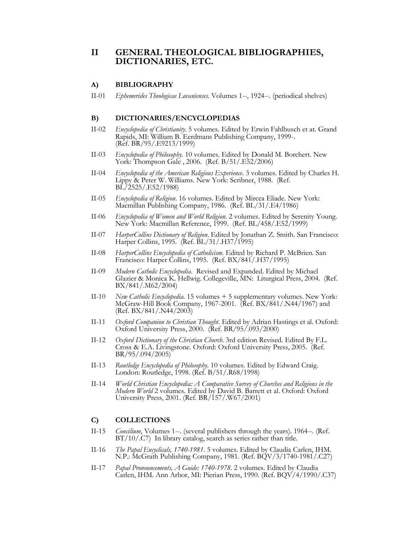### **II GENERAL THEOLOGICAL BIBLIOGRAPHIES, DICTIONARIES, ETC.**

#### **A) BIBLIOGRAPHY**

II-01 *Ephemerides Theologicae Lovanienses.* Volumes 1--, 1924--. (periodical shelves)

#### **B) DICTIONARIES/ENCYCLOPEDIAS**

- II-02 *Encyclopedia of Christianity*. 5 volumes. Edited by Erwin Fahlbusch et at. Grand Rapids, MI: William B. Eerdmans Publishing Company, 1999-. (Ref. BR/95/.E9213/1999)
- II-03 *Encyclopedia of Philosophy*. 10 volumes. Edited by Donald M. Borchert. New York: Thompson Gale , 2006. (Ref. B/51/.E52/2006)
- II-04 *Encyclopedia of the American Religious Experience*. 3 volumes. Edited by Charles H. Lippy & Peter W. Williams. New York: Scribner, 1988. (Ref. BL/2525/.E52/1988)
- II-05 *Encyclopedia of Religion*. 16 volumes. Edited by Mircea Eliade. New York: Macmillan Publishing Company, 1986. (Ref. BL/31/.E4/1986)
- II-06 *Encyclopedia of Women and World Religion*. 2 volumes. Edited by Serenity Young. New York: Macmillan Reference, 1999. (Ref. BL/458/.E52/1999)
- II-07 *HarperCollins Dictionary of Religion*. Edited by Jonathan Z. Smith. San Francisco: Harper Collins, 1995. (Ref. BL/31/.H37/1995)
- II-08 *HarperCollins Encyclopedia of Catholicism*. Edited by Richard P. McBrien. San Francisco: Harper Collins, 1995. (Ref. BX/841/.H37/1995)
- II-09 *Modern Catholic Encyclopedia*. Revised and Expanded. Edited by Michael Glazier & Monica K. Hellwig. Collegeville, MN: Liturgical Press, 2004. (Ref. BX/841/.M62/2004)
- II-10 *New Catholic Encyclopedia.* 15 volumes + 5 supplementary volumes. New York: McGraw-Hill Book Company, 1967-2001. (Ref. BX/841/.N44/1967) and (Ref. BX/841/.N44/2003)
- II-11 *Oxford Companion to Christian Thought*. Edited by Adrian Hastings et al. Oxford: Oxford University Press, 2000. (Ref. BR/95/.093/2000)
- II-12 *Oxford Dictionary of the Christian Church*. 3rd edition Revised. Edited By F.L. Cross & E.A. Livingstone. Oxford: Oxford University Press, 2005. (Ref. BR/95/.094/2005)
- II-13 *Routledge Encyclopedia of Philosophy*. 10 volumes. Edited by Edward Craig. London: Routledge, 1998. (Ref. B/51/.R68/1998)
- II-14 *World Christian Encyclopedia: A Comparative Survey of Churches and Religions in the Modern World* 2 volumes. Edited by David B. Barrett et al. Oxford: Oxford University Press, 2001. (Ref. BR/157/.W67/2001)

#### **C) COLLECTIONS**

- II-15 *Concilium*, Volumes 1--. (several publishers through the years). 1964--. (Ref. BT/10/.C7) In library catalog, search as series rather than title.
- II-16 *The Papal Encyclicals, 1740-1981*. 5 volumes. Edited by Claudia Carlen, IHM. N.P.: McGrath Publishing Company, 1981. (Ref. BQV/3/1740-1981/.C27)
- II-17 *Papal Pronouncements, A Guide: 1740-1978*. 2 volumes. Edited by Claudia Carlen, IHM. Ann Arbor, MI: Pierian Press, 1990. (Ref. BQV/4/1990/.C37)